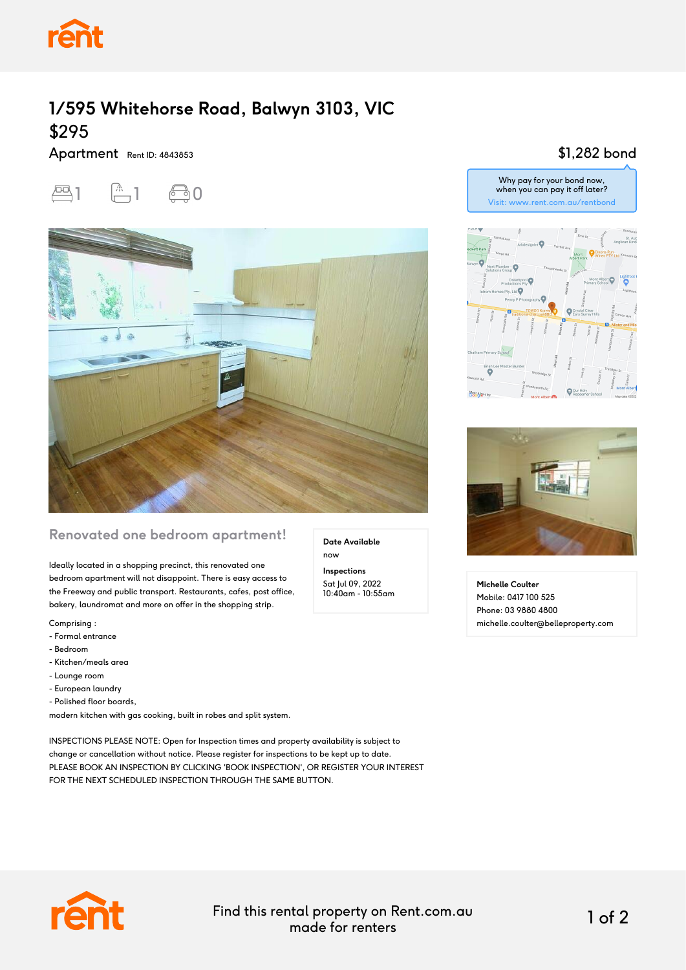

## **1/595 Whitehorse Road, Balwyn 3103, VIC** \$295

Apartment Rent ID: 4843853





## **Renovated one bedroom apartment!**

Ideally located in a shopping precinct, this renovated one bedroom apartment will not disappoint. There is easy access to the Freeway and public transport. Restaurants, cafes, post office, bakery, laundromat and more on offer in the shopping strip.

Comprising :

- Formal entrance
- Bedroom
- Kitchen/meals area
- Lounge room
- European laundry
- Polished floor boards,

modern kitchen with gas cooking, built in robes and split system.

INSPECTIONS PLEASE NOTE: Open for Inspection times and property availability is subject to change or cancellation without notice. Please register for inspections to be kept up to date. PLEASE BOOK AN INSPECTION BY CLICKING 'BOOK INSPECTION', OR REGISTER YOUR INTEREST FOR THE NEXT SCHEDULED INSPECTION THROUGH THE SAME BUTTON.

**Date Available** now

**Inspections** Sat Jul 09, 2022 10:40am - 10:55am

## \$1,282 bond





**Michelle Coulter** Mobile: 0417 100 525 Phone: 03 9880 4800 michelle.coulter@belleproperty.com



Find this rental property on Rent.com.au made for renters 1 of 2